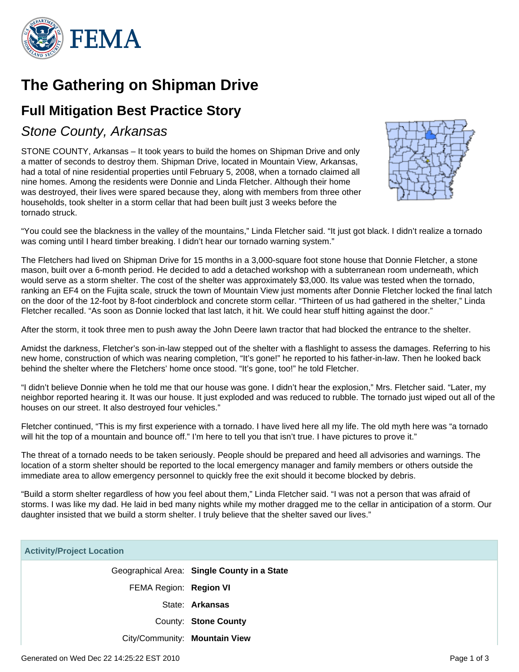

# **The Gathering on Shipman Drive**

## **Full Mitigation Best Practice Story**

### Stone County, Arkansas

STONE COUNTY, Arkansas – It took years to build the homes on Shipman Drive and only a matter of seconds to destroy them. Shipman Drive, located in Mountain View, Arkansas, had a total of nine residential properties until February 5, 2008, when a tornado claimed all nine homes. Among the residents were Donnie and Linda Fletcher. Although their home was destroyed, their lives were spared because they, along with members from three other households, took shelter in a storm cellar that had been built just 3 weeks before the tornado struck.



"You could see the blackness in the valley of the mountains," Linda Fletcher said. "It just got black. I didn't realize a tornado was coming until I heard timber breaking. I didn't hear our tornado warning system."

The Fletchers had lived on Shipman Drive for 15 months in a 3,000-square foot stone house that Donnie Fletcher, a stone mason, built over a 6-month period. He decided to add a detached workshop with a subterranean room underneath, which would serve as a storm shelter. The cost of the shelter was approximately \$3,000. Its value was tested when the tornado, ranking an EF4 on the Fujita scale, struck the town of Mountain View just moments after Donnie Fletcher locked the final latch on the door of the 12-foot by 8-foot cinderblock and concrete storm cellar. "Thirteen of us had gathered in the shelter," Linda Fletcher recalled. "As soon as Donnie locked that last latch, it hit. We could hear stuff hitting against the door."

After the storm, it took three men to push away the John Deere lawn tractor that had blocked the entrance to the shelter.

Amidst the darkness, Fletcher's son-in-law stepped out of the shelter with a flashlight to assess the damages. Referring to his new home, construction of which was nearing completion, "It's gone!" he reported to his father-in-law. Then he looked back behind the shelter where the Fletchers' home once stood. "It's gone, too!" he told Fletcher.

"I didn't believe Donnie when he told me that our house was gone. I didn't hear the explosion," Mrs. Fletcher said. "Later, my neighbor reported hearing it. It was our house. It just exploded and was reduced to rubble. The tornado just wiped out all of the houses on our street. It also destroyed four vehicles."

Fletcher continued, "This is my first experience with a tornado. I have lived here all my life. The old myth here was "a tornado will hit the top of a mountain and bounce off." I'm here to tell you that isn't true. I have pictures to prove it."

The threat of a tornado needs to be taken seriously. People should be prepared and heed all advisories and warnings. The location of a storm shelter should be reported to the local emergency manager and family members or others outside the immediate area to allow emergency personnel to quickly free the exit should it become blocked by debris.

"Build a storm shelter regardless of how you feel about them," Linda Fletcher said. "I was not a person that was afraid of storms. I was like my dad. He laid in bed many nights while my mother dragged me to the cellar in anticipation of a storm. Our daughter insisted that we build a storm shelter. I truly believe that the shelter saved our lives."

| <b>Activity/Project Location</b> |                                             |
|----------------------------------|---------------------------------------------|
|                                  | Geographical Area: Single County in a State |
| FEMA Region: Region VI           |                                             |
|                                  | State: Arkansas                             |
|                                  | County: Stone County                        |
| City/Community: Mountain View    |                                             |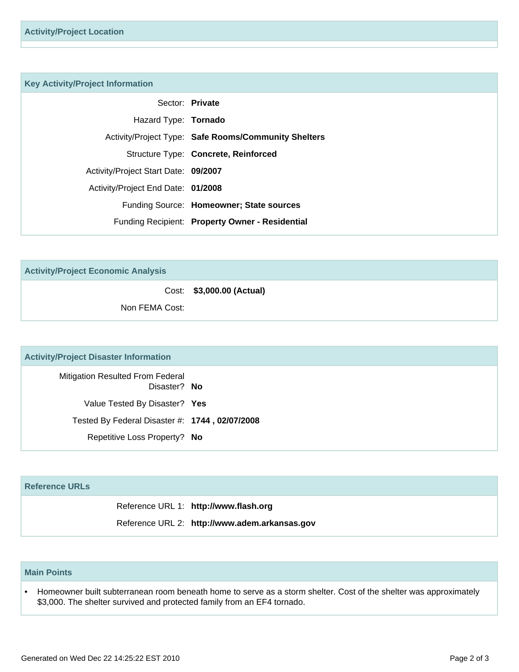#### **Key Activity/Project Information**

|                                      | Sector: Private                                      |
|--------------------------------------|------------------------------------------------------|
| Hazard Type: Tornado                 |                                                      |
|                                      | Activity/Project Type: Safe Rooms/Community Shelters |
|                                      | Structure Type: Concrete, Reinforced                 |
| Activity/Project Start Date: 09/2007 |                                                      |
| Activity/Project End Date: 01/2008   |                                                      |
|                                      | Funding Source: Homeowner; State sources             |
|                                      | Funding Recipient: Property Owner - Residential      |
|                                      |                                                      |

**Activity/Project Economic Analysis**

Cost: **\$3,000.00 (Actual)**

Non FEMA Cost:

#### **Activity/Project Disaster Information**

Mitigation Resulted From Federal Disaster? **No** Value Tested By Disaster? **Yes** Tested By Federal Disaster #: **1744 , 02/07/2008** Repetitive Loss Property? **No**

#### **Reference URLs**

Reference URL 1: **http://www.flash.org**

Reference URL 2: **http://www.adem.arkansas.gov**

#### **Main Points**

Homeowner built subterranean room beneath home to serve as a storm shelter. Cost of the shelter was approximately \$3,000. The shelter survived and protected family from an EF4 tornado. •